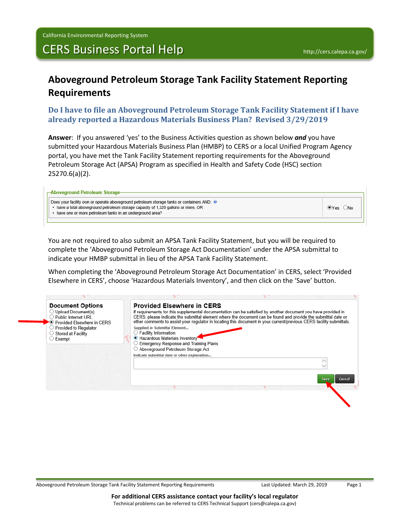## CERS Business Portal Help **<http://cers.calepa.ca.gov/>**

## **Aboveground Petroleum Storage Tank Facility Statement Reporting Requirements**

## **Do I have to file an Aboveground Petroleum Storage Tank Facility Statement if I have already reported a Hazardous Materials Business Plan? Revised 3/29/2019**

**Answer**: If you answered 'yes' to the Business Activities question as shown below *and* you have submitted your Hazardous Materials Business Plan (HMBP) to CERS or a local Unified Program Agency portal, you have met the Tank Facility Statement reporting requirements for the Aboveground Petroleum Storage Act (APSA) Program as specified in Health and Safety Code (HSC) section 25270.6(a)(2).

| -Aboveground Petroleum Storage                                                                                                                                                                                                                 |  |
|------------------------------------------------------------------------------------------------------------------------------------------------------------------------------------------------------------------------------------------------|--|
| Does your facility own or operate aboveground petroleum storage tanks or containers AND: ◙<br>• have a total aboveground petroleum storage capacity of 1,320 gallons or more, OR<br>• have one or more petroleum tanks in an underground area? |  |
|                                                                                                                                                                                                                                                |  |

You are not required to also submit an APSA Tank Facility Statement, but you will be required to complete the 'Aboveground Petroleum Storage Act Documentation' under the APSA submittal to indicate your HMBP submittal in lieu of the APSA Tank Facility Statement.

When completing the 'Aboveground Petroleum Storage Act Documentation' in CERS, select 'Provided Elsewhere in CERS', choose 'Hazardous Materials Inventory', and then click on the 'Save' button.

| <b>Document Options</b><br>◯ Upload Document(s)<br>$\bigcirc$ Public Internet URL<br>▶● Provided Elsewhere in CERS | <b>Provided Elsewhere in CERS</b><br>If requirements for this supplemental documentation can be satisfied by another document you have provided in<br>CERS, please indicate the submittal element where the document can be found and provide the submittal date or<br>other comments to assist your regulator in locating this document in your current/previous CERS facility submittals. |  |
|--------------------------------------------------------------------------------------------------------------------|---------------------------------------------------------------------------------------------------------------------------------------------------------------------------------------------------------------------------------------------------------------------------------------------------------------------------------------------------------------------------------------------|--|
| ◯ Provided to Regulator<br>$\bigcirc$ Stored at Facility<br>$\supset$ Exempt                                       | Supplied in Submittal Element<br>Facility Information<br>Hazardous Materials Inventory<br><b>Emergency Response and Training Plans</b>                                                                                                                                                                                                                                                      |  |
|                                                                                                                    | Aboveground Petroleum Storage Act<br>Indicate submittal date or other explanation                                                                                                                                                                                                                                                                                                           |  |
|                                                                                                                    |                                                                                                                                                                                                                                                                                                                                                                                             |  |
|                                                                                                                    | <b>Cancel</b><br>Save                                                                                                                                                                                                                                                                                                                                                                       |  |